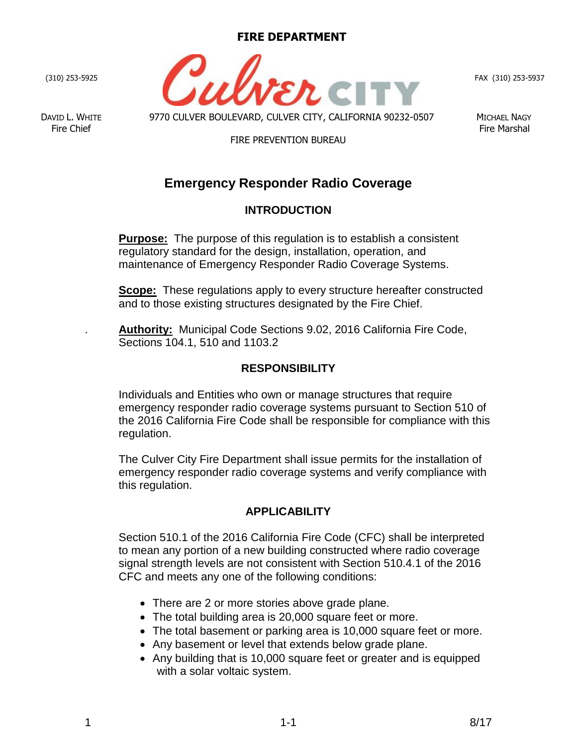#### **FIRE DEPARTMENT**

(310) 253-5925

DAVID L. WHITE 9770 CULVER BOULEVARD, CULVER CITY, CALIFORNIA 90232-0507 MICHAEL NAGY

#### FIRE PREVENTION BUREAU

FAX (310) 253-5937

# **Emergency Responder Radio Coverage**

## **INTRODUCTION**

**Purpose:** The purpose of this regulation is to establish a consistent regulatory standard for the design, installation, operation, and maintenance of Emergency Responder Radio Coverage Systems.

**Scope:** These regulations apply to every structure hereafter constructed and to those existing structures designated by the Fire Chief.

. **Authority:** Municipal Code Sections 9.02, 2016 California Fire Code, Sections 104.1, 510 and 1103.2

#### **RESPONSIBILITY**

Individuals and Entities who own or manage structures that require emergency responder radio coverage systems pursuant to Section 510 of the 2016 California Fire Code shall be responsible for compliance with this regulation.

The Culver City Fire Department shall issue permits for the installation of emergency responder radio coverage systems and verify compliance with this regulation.

#### **APPLICABILITY**

Section 510.1 of the 2016 California Fire Code (CFC) shall be interpreted to mean any portion of a new building constructed where radio coverage signal strength levels are not consistent with Section 510.4.1 of the 2016 CFC and meets any one of the following conditions:

- There are 2 or more stories above grade plane.
- The total building area is 20,000 square feet or more.
- The total basement or parking area is 10,000 square feet or more.
- Any basement or level that extends below grade plane.
- Any building that is 10,000 square feet or greater and is equipped with a solar voltaic system.

Fire Chief Fire Marshal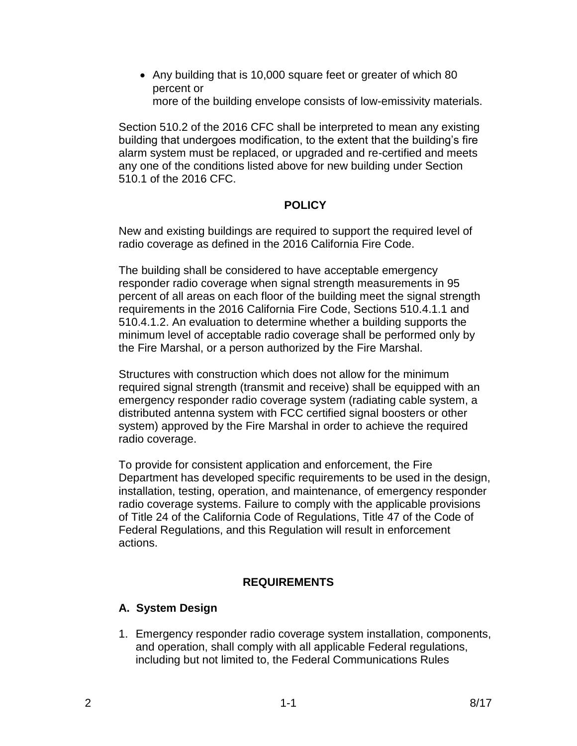• Any building that is 10,000 square feet or greater of which 80 percent or more of the building envelope consists of low-emissivity materials.

Section 510.2 of the 2016 CFC shall be interpreted to mean any existing building that undergoes modification, to the extent that the building's fire alarm system must be replaced, or upgraded and re-certified and meets any one of the conditions listed above for new building under Section 510.1 of the 2016 CFC.

### **POLICY**

New and existing buildings are required to support the required level of radio coverage as defined in the 2016 California Fire Code.

The building shall be considered to have acceptable emergency responder radio coverage when signal strength measurements in 95 percent of all areas on each floor of the building meet the signal strength requirements in the 2016 California Fire Code, Sections 510.4.1.1 and 510.4.1.2. An evaluation to determine whether a building supports the minimum level of acceptable radio coverage shall be performed only by the Fire Marshal, or a person authorized by the Fire Marshal.

Structures with construction which does not allow for the minimum required signal strength (transmit and receive) shall be equipped with an emergency responder radio coverage system (radiating cable system, a distributed antenna system with FCC certified signal boosters or other system) approved by the Fire Marshal in order to achieve the required radio coverage.

To provide for consistent application and enforcement, the Fire Department has developed specific requirements to be used in the design, installation, testing, operation, and maintenance, of emergency responder radio coverage systems. Failure to comply with the applicable provisions of Title 24 of the California Code of Regulations, Title 47 of the Code of Federal Regulations, and this Regulation will result in enforcement actions.

# **REQUIREMENTS**

# **A. System Design**

1. Emergency responder radio coverage system installation, components, and operation, shall comply with all applicable Federal regulations, including but not limited to, the Federal Communications Rules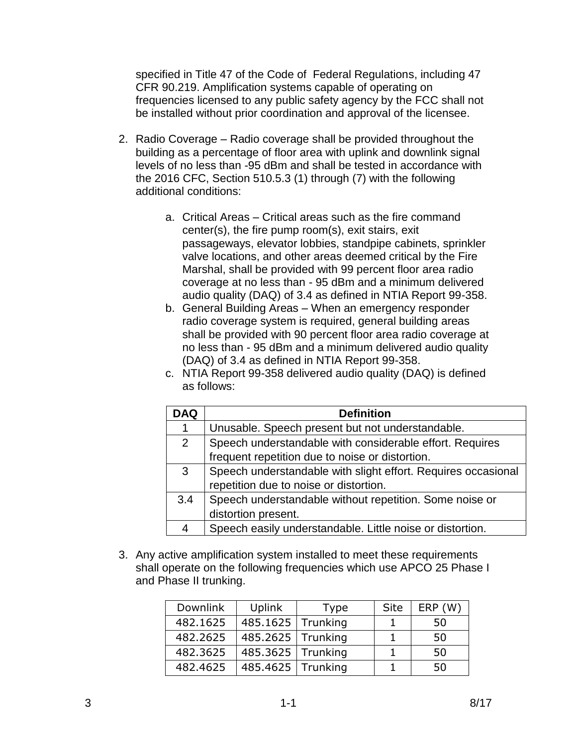specified in Title 47 of the Code of Federal Regulations, including 47 CFR 90.219. Amplification systems capable of operating on frequencies licensed to any public safety agency by the FCC shall not be installed without prior coordination and approval of the licensee.

- 2. Radio Coverage Radio coverage shall be provided throughout the building as a percentage of floor area with uplink and downlink signal levels of no less than -95 dBm and shall be tested in accordance with the 2016 CFC, Section 510.5.3 (1) through (7) with the following additional conditions:
	- a. Critical Areas Critical areas such as the fire command center(s), the fire pump room(s), exit stairs, exit passageways, elevator lobbies, standpipe cabinets, sprinkler valve locations, and other areas deemed critical by the Fire Marshal, shall be provided with 99 percent floor area radio coverage at no less than - 95 dBm and a minimum delivered audio quality (DAQ) of 3.4 as defined in NTIA Report 99-358.
	- b. General Building Areas When an emergency responder radio coverage system is required, general building areas shall be provided with 90 percent floor area radio coverage at no less than - 95 dBm and a minimum delivered audio quality (DAQ) of 3.4 as defined in NTIA Report 99-358.
	- c. NTIA Report 99-358 delivered audio quality (DAQ) is defined as follows:

| <b>DAQ</b>     | <b>Definition</b>                                             |
|----------------|---------------------------------------------------------------|
| 1              | Unusable. Speech present but not understandable.              |
| $\overline{2}$ | Speech understandable with considerable effort. Requires      |
|                | frequent repetition due to noise or distortion.               |
| 3              | Speech understandable with slight effort. Requires occasional |
|                | repetition due to noise or distortion.                        |
| 3.4            | Speech understandable without repetition. Some noise or       |
|                | distortion present.                                           |
| 4              | Speech easily understandable. Little noise or distortion.     |

3. Any active amplification system installed to meet these requirements shall operate on the following frequencies which use APCO 25 Phase I and Phase II trunking.

| <b>Downlink</b> | Uplink              | <b>Type</b> | <b>Site</b> | ERP(W) |
|-----------------|---------------------|-------------|-------------|--------|
| 482.1625        | 485.1625   Trunking |             |             | 50     |
| 482.2625        | 485.2625   Trunking |             |             | 50     |
| 482.3625        | 485.3625   Trunking |             |             | 50     |
| 482.4625        | 485.4625   Trunking |             |             | 50     |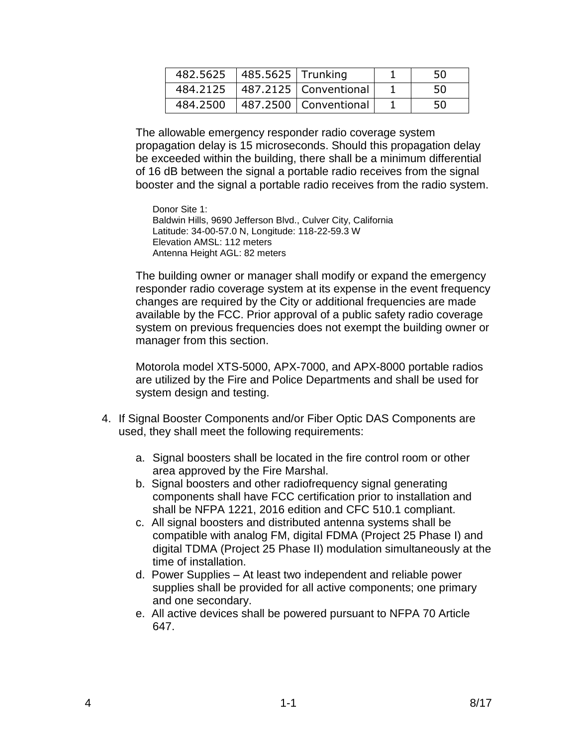| 482.5625   485.5625   Trunking |                         | 50 |
|--------------------------------|-------------------------|----|
| 484.2125                       | 487.2125   Conventional | 50 |
| 484.2500                       | 487.2500   Conventional | 50 |

The allowable emergency responder radio coverage system propagation delay is 15 microseconds. Should this propagation delay be exceeded within the building, there shall be a minimum differential of 16 dB between the signal a portable radio receives from the signal booster and the signal a portable radio receives from the radio system.

Donor Site 1: Baldwin Hills, 9690 Jefferson Blvd., Culver City, California Latitude: 34-00-57.0 N, Longitude: 118-22-59.3 W Elevation AMSL: 112 meters Antenna Height AGL: 82 meters

The building owner or manager shall modify or expand the emergency responder radio coverage system at its expense in the event frequency changes are required by the City or additional frequencies are made available by the FCC. Prior approval of a public safety radio coverage system on previous frequencies does not exempt the building owner or manager from this section.

Motorola model XTS-5000, APX-7000, and APX-8000 portable radios are utilized by the Fire and Police Departments and shall be used for system design and testing.

- 4. If Signal Booster Components and/or Fiber Optic DAS Components are used, they shall meet the following requirements:
	- a. Signal boosters shall be located in the fire control room or other area approved by the Fire Marshal.
	- b. Signal boosters and other radiofrequency signal generating components shall have FCC certification prior to installation and shall be NFPA 1221, 2016 edition and CFC 510.1 compliant.
	- c. All signal boosters and distributed antenna systems shall be compatible with analog FM, digital FDMA (Project 25 Phase I) and digital TDMA (Project 25 Phase II) modulation simultaneously at the time of installation.
	- d. Power Supplies At least two independent and reliable power supplies shall be provided for all active components; one primary and one secondary.
	- e. All active devices shall be powered pursuant to NFPA 70 Article 647.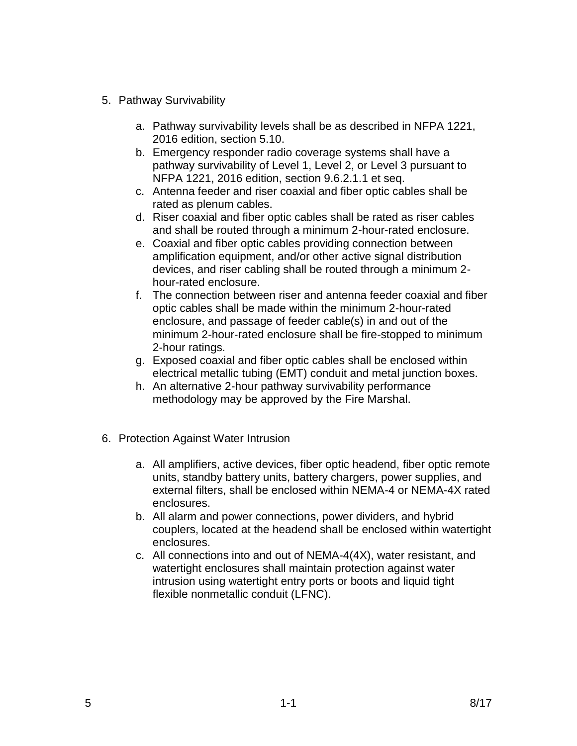- 5. Pathway Survivability
	- a. Pathway survivability levels shall be as described in NFPA 1221, 2016 edition, section 5.10.
	- b. Emergency responder radio coverage systems shall have a pathway survivability of Level 1, Level 2, or Level 3 pursuant to NFPA 1221, 2016 edition, section 9.6.2.1.1 et seq.
	- c. Antenna feeder and riser coaxial and fiber optic cables shall be rated as plenum cables.
	- d. Riser coaxial and fiber optic cables shall be rated as riser cables and shall be routed through a minimum 2-hour-rated enclosure.
	- e. Coaxial and fiber optic cables providing connection between amplification equipment, and/or other active signal distribution devices, and riser cabling shall be routed through a minimum 2 hour-rated enclosure.
	- f. The connection between riser and antenna feeder coaxial and fiber optic cables shall be made within the minimum 2-hour-rated enclosure, and passage of feeder cable(s) in and out of the minimum 2-hour-rated enclosure shall be fire-stopped to minimum 2-hour ratings.
	- g. Exposed coaxial and fiber optic cables shall be enclosed within electrical metallic tubing (EMT) conduit and metal junction boxes.
	- h. An alternative 2-hour pathway survivability performance methodology may be approved by the Fire Marshal.
- 6. Protection Against Water Intrusion
	- a. All amplifiers, active devices, fiber optic headend, fiber optic remote units, standby battery units, battery chargers, power supplies, and external filters, shall be enclosed within NEMA-4 or NEMA-4X rated enclosures.
	- b. All alarm and power connections, power dividers, and hybrid couplers, located at the headend shall be enclosed within watertight enclosures.
	- c. All connections into and out of NEMA-4(4X), water resistant, and watertight enclosures shall maintain protection against water intrusion using watertight entry ports or boots and liquid tight flexible nonmetallic conduit (LFNC).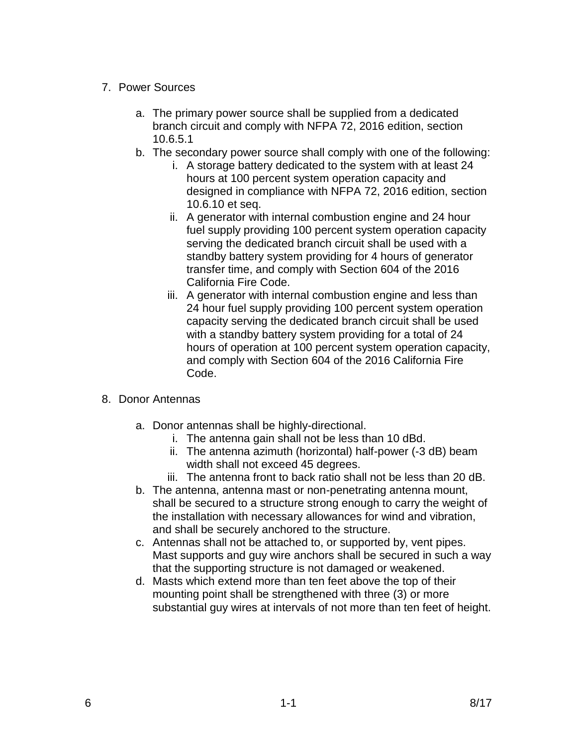- 7. Power Sources
	- a. The primary power source shall be supplied from a dedicated branch circuit and comply with NFPA 72, 2016 edition, section 10.6.5.1
	- b. The secondary power source shall comply with one of the following:
		- i. A storage battery dedicated to the system with at least 24 hours at 100 percent system operation capacity and designed in compliance with NFPA 72, 2016 edition, section 10.6.10 et seq.
		- ii. A generator with internal combustion engine and 24 hour fuel supply providing 100 percent system operation capacity serving the dedicated branch circuit shall be used with a standby battery system providing for 4 hours of generator transfer time, and comply with Section 604 of the 2016 California Fire Code.
		- iii. A generator with internal combustion engine and less than 24 hour fuel supply providing 100 percent system operation capacity serving the dedicated branch circuit shall be used with a standby battery system providing for a total of 24 hours of operation at 100 percent system operation capacity, and comply with Section 604 of the 2016 California Fire Code.
- 8. Donor Antennas
	- a. Donor antennas shall be highly-directional.
		- i. The antenna gain shall not be less than 10 dBd.
		- ii. The antenna azimuth (horizontal) half-power (-3 dB) beam width shall not exceed 45 degrees.
		- iii. The antenna front to back ratio shall not be less than 20 dB.
	- b. The antenna, antenna mast or non-penetrating antenna mount, shall be secured to a structure strong enough to carry the weight of the installation with necessary allowances for wind and vibration, and shall be securely anchored to the structure.
	- c. Antennas shall not be attached to, or supported by, vent pipes. Mast supports and guy wire anchors shall be secured in such a way that the supporting structure is not damaged or weakened.
	- d. Masts which extend more than ten feet above the top of their mounting point shall be strengthened with three (3) or more substantial guy wires at intervals of not more than ten feet of height.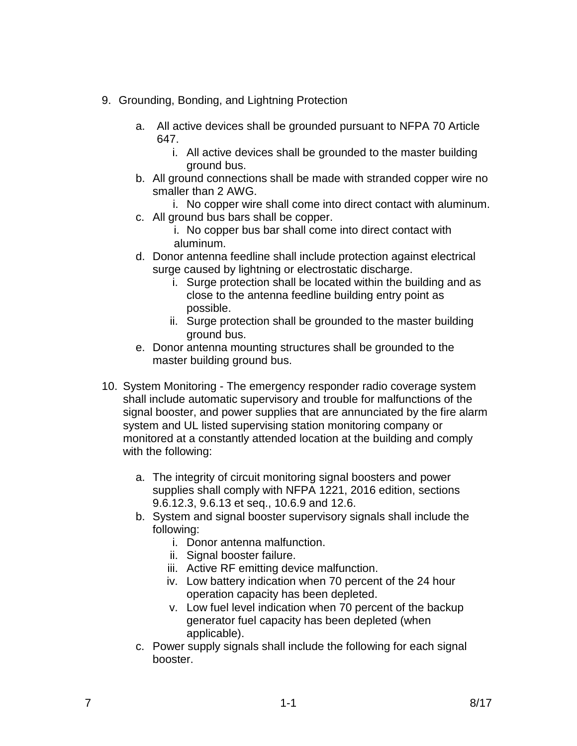- 9. Grounding, Bonding, and Lightning Protection
	- a. All active devices shall be grounded pursuant to NFPA 70 Article 647.
		- i. All active devices shall be grounded to the master building ground bus.
	- b. All ground connections shall be made with stranded copper wire no smaller than 2 AWG.
		- i. No copper wire shall come into direct contact with aluminum.
	- c. All ground bus bars shall be copper.
		- i. No copper bus bar shall come into direct contact with aluminum.
	- d. Donor antenna feedline shall include protection against electrical surge caused by lightning or electrostatic discharge.
		- i. Surge protection shall be located within the building and as close to the antenna feedline building entry point as possible.
		- ii. Surge protection shall be grounded to the master building ground bus.
	- e. Donor antenna mounting structures shall be grounded to the master building ground bus.
- 10. System Monitoring The emergency responder radio coverage system shall include automatic supervisory and trouble for malfunctions of the signal booster, and power supplies that are annunciated by the fire alarm system and UL listed supervising station monitoring company or monitored at a constantly attended location at the building and comply with the following:
	- a. The integrity of circuit monitoring signal boosters and power supplies shall comply with NFPA 1221, 2016 edition, sections 9.6.12.3, 9.6.13 et seq., 10.6.9 and 12.6.
	- b. System and signal booster supervisory signals shall include the following:
		- i. Donor antenna malfunction.
		- ii. Signal booster failure.
		- iii. Active RF emitting device malfunction.
		- iv. Low battery indication when 70 percent of the 24 hour operation capacity has been depleted.
		- v. Low fuel level indication when 70 percent of the backup generator fuel capacity has been depleted (when applicable).
	- c. Power supply signals shall include the following for each signal booster.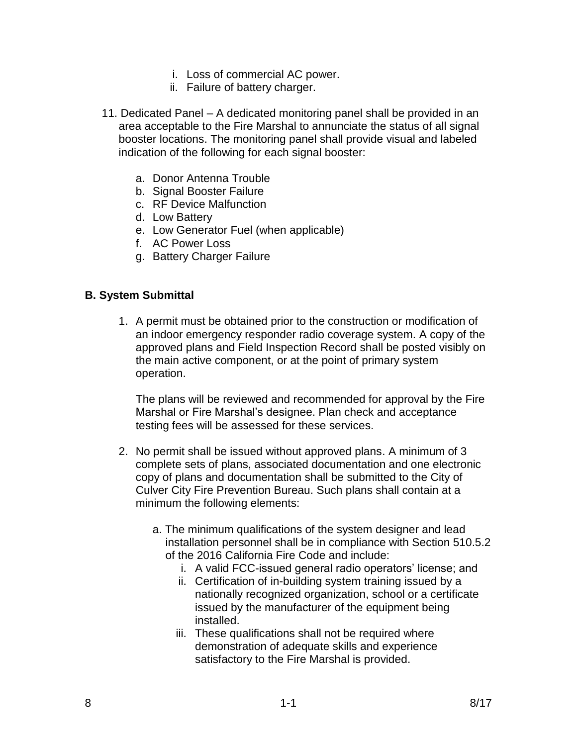- i. Loss of commercial AC power.
- ii. Failure of battery charger.
- 11. Dedicated Panel A dedicated monitoring panel shall be provided in an area acceptable to the Fire Marshal to annunciate the status of all signal booster locations. The monitoring panel shall provide visual and labeled indication of the following for each signal booster:
	- a. Donor Antenna Trouble
	- b. Signal Booster Failure
	- c. RF Device Malfunction
	- d. Low Battery
	- e. Low Generator Fuel (when applicable)
	- f. AC Power Loss
	- g. Battery Charger Failure

#### **B. System Submittal**

1. A permit must be obtained prior to the construction or modification of an indoor emergency responder radio coverage system. A copy of the approved plans and Field Inspection Record shall be posted visibly on the main active component, or at the point of primary system operation.

The plans will be reviewed and recommended for approval by the Fire Marshal or Fire Marshal's designee. Plan check and acceptance testing fees will be assessed for these services.

- 2. No permit shall be issued without approved plans. A minimum of 3 complete sets of plans, associated documentation and one electronic copy of plans and documentation shall be submitted to the City of Culver City Fire Prevention Bureau. Such plans shall contain at a minimum the following elements:
	- a. The minimum qualifications of the system designer and lead installation personnel shall be in compliance with Section 510.5.2 of the 2016 California Fire Code and include:
		- i. A valid FCC-issued general radio operators' license; and
		- ii. Certification of in-building system training issued by a nationally recognized organization, school or a certificate issued by the manufacturer of the equipment being installed.
		- iii. These qualifications shall not be required where demonstration of adequate skills and experience satisfactory to the Fire Marshal is provided.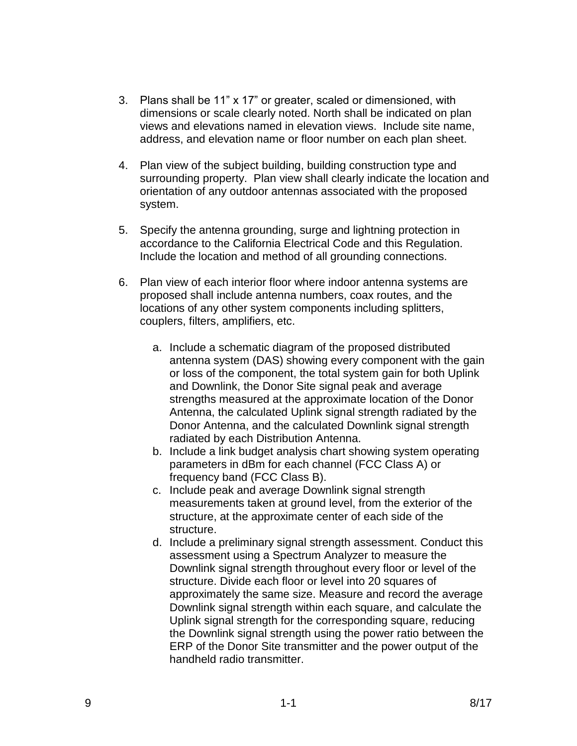- 3. Plans shall be 11" x 17" or greater, scaled or dimensioned, with dimensions or scale clearly noted. North shall be indicated on plan views and elevations named in elevation views. Include site name, address, and elevation name or floor number on each plan sheet.
- 4. Plan view of the subject building, building construction type and surrounding property. Plan view shall clearly indicate the location and orientation of any outdoor antennas associated with the proposed system.
- 5. Specify the antenna grounding, surge and lightning protection in accordance to the California Electrical Code and this Regulation. Include the location and method of all grounding connections.
- 6. Plan view of each interior floor where indoor antenna systems are proposed shall include antenna numbers, coax routes, and the locations of any other system components including splitters, couplers, filters, amplifiers, etc.
	- a. Include a schematic diagram of the proposed distributed antenna system (DAS) showing every component with the gain or loss of the component, the total system gain for both Uplink and Downlink, the Donor Site signal peak and average strengths measured at the approximate location of the Donor Antenna, the calculated Uplink signal strength radiated by the Donor Antenna, and the calculated Downlink signal strength radiated by each Distribution Antenna.
	- b. Include a link budget analysis chart showing system operating parameters in dBm for each channel (FCC Class A) or frequency band (FCC Class B).
	- c. Include peak and average Downlink signal strength measurements taken at ground level, from the exterior of the structure, at the approximate center of each side of the structure.
	- d. Include a preliminary signal strength assessment. Conduct this assessment using a Spectrum Analyzer to measure the Downlink signal strength throughout every floor or level of the structure. Divide each floor or level into 20 squares of approximately the same size. Measure and record the average Downlink signal strength within each square, and calculate the Uplink signal strength for the corresponding square, reducing the Downlink signal strength using the power ratio between the ERP of the Donor Site transmitter and the power output of the handheld radio transmitter.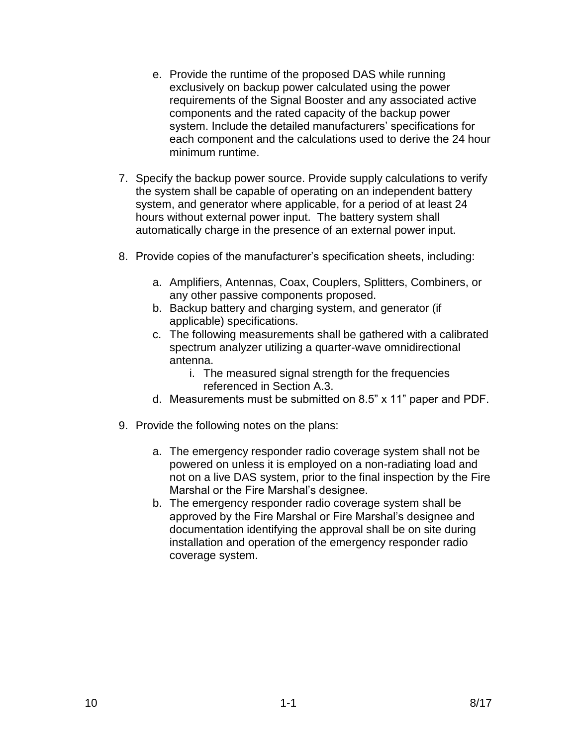- e. Provide the runtime of the proposed DAS while running exclusively on backup power calculated using the power requirements of the Signal Booster and any associated active components and the rated capacity of the backup power system. Include the detailed manufacturers' specifications for each component and the calculations used to derive the 24 hour minimum runtime.
- 7. Specify the backup power source. Provide supply calculations to verify the system shall be capable of operating on an independent battery system, and generator where applicable, for a period of at least 24 hours without external power input. The battery system shall automatically charge in the presence of an external power input.
- 8. Provide copies of the manufacturer's specification sheets, including:
	- a. Amplifiers, Antennas, Coax, Couplers, Splitters, Combiners, or any other passive components proposed.
	- b. Backup battery and charging system, and generator (if applicable) specifications.
	- c. The following measurements shall be gathered with a calibrated spectrum analyzer utilizing a quarter-wave omnidirectional antenna.
		- i. The measured signal strength for the frequencies referenced in Section A.3.
	- d. Measurements must be submitted on 8.5" x 11" paper and PDF.
- 9. Provide the following notes on the plans:
	- a. The emergency responder radio coverage system shall not be powered on unless it is employed on a non-radiating load and not on a live DAS system, prior to the final inspection by the Fire Marshal or the Fire Marshal's designee.
	- b. The emergency responder radio coverage system shall be approved by the Fire Marshal or Fire Marshal's designee and documentation identifying the approval shall be on site during installation and operation of the emergency responder radio coverage system.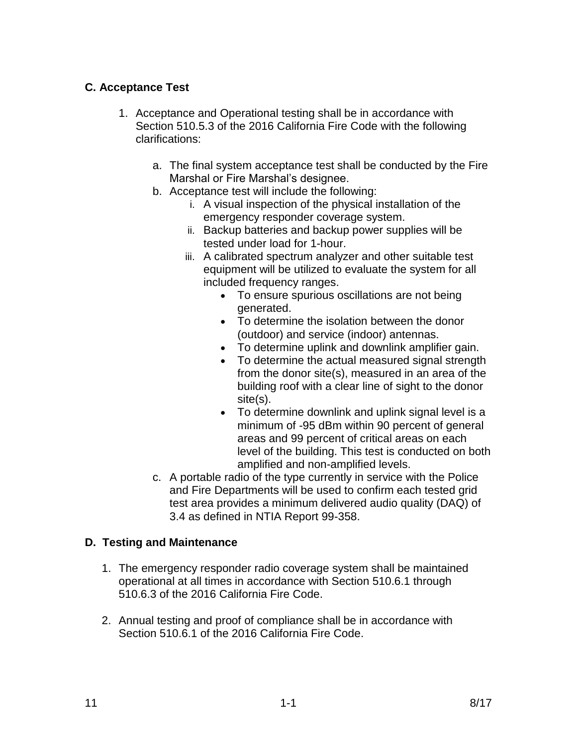# **C. Acceptance Test**

- 1. Acceptance and Operational testing shall be in accordance with Section 510.5.3 of the 2016 California Fire Code with the following clarifications:
	- a. The final system acceptance test shall be conducted by the Fire Marshal or Fire Marshal's designee.
	- b. Acceptance test will include the following:
		- i. A visual inspection of the physical installation of the emergency responder coverage system.
		- ii. Backup batteries and backup power supplies will be tested under load for 1-hour.
		- iii. A calibrated spectrum analyzer and other suitable test equipment will be utilized to evaluate the system for all included frequency ranges.
			- To ensure spurious oscillations are not being generated.
			- To determine the isolation between the donor (outdoor) and service (indoor) antennas.
			- To determine uplink and downlink amplifier gain.
			- To determine the actual measured signal strength from the donor site(s), measured in an area of the building roof with a clear line of sight to the donor site(s).
			- To determine downlink and uplink signal level is a minimum of -95 dBm within 90 percent of general areas and 99 percent of critical areas on each level of the building. This test is conducted on both amplified and non-amplified levels.
	- c. A portable radio of the type currently in service with the Police and Fire Departments will be used to confirm each tested grid test area provides a minimum delivered audio quality (DAQ) of 3.4 as defined in NTIA Report 99-358.

# **D. Testing and Maintenance**

- 1. The emergency responder radio coverage system shall be maintained operational at all times in accordance with Section 510.6.1 through 510.6.3 of the 2016 California Fire Code.
- 2. Annual testing and proof of compliance shall be in accordance with Section 510.6.1 of the 2016 California Fire Code.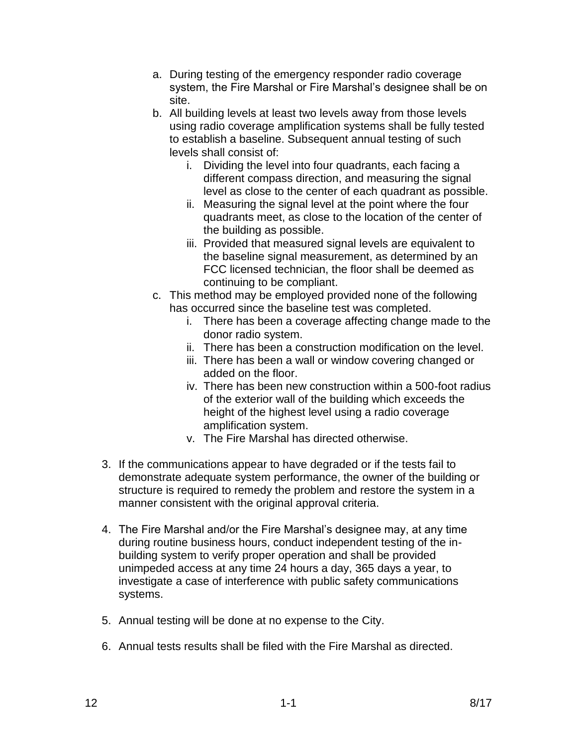- a. During testing of the emergency responder radio coverage system, the Fire Marshal or Fire Marshal's designee shall be on site.
- b. All building levels at least two levels away from those levels using radio coverage amplification systems shall be fully tested to establish a baseline. Subsequent annual testing of such levels shall consist of:
	- i. Dividing the level into four quadrants, each facing a different compass direction, and measuring the signal level as close to the center of each quadrant as possible.
	- ii. Measuring the signal level at the point where the four quadrants meet, as close to the location of the center of the building as possible.
	- iii. Provided that measured signal levels are equivalent to the baseline signal measurement, as determined by an FCC licensed technician, the floor shall be deemed as continuing to be compliant.
- c. This method may be employed provided none of the following has occurred since the baseline test was completed.
	- i. There has been a coverage affecting change made to the donor radio system.
	- ii. There has been a construction modification on the level.
	- iii. There has been a wall or window covering changed or added on the floor.
	- iv. There has been new construction within a 500-foot radius of the exterior wall of the building which exceeds the height of the highest level using a radio coverage amplification system.
	- v. The Fire Marshal has directed otherwise.
- 3. If the communications appear to have degraded or if the tests fail to demonstrate adequate system performance, the owner of the building or structure is required to remedy the problem and restore the system in a manner consistent with the original approval criteria.
- 4. The Fire Marshal and/or the Fire Marshal's designee may, at any time during routine business hours, conduct independent testing of the inbuilding system to verify proper operation and shall be provided unimpeded access at any time 24 hours a day, 365 days a year, to investigate a case of interference with public safety communications systems.
- 5. Annual testing will be done at no expense to the City.
- 6. Annual tests results shall be filed with the Fire Marshal as directed.